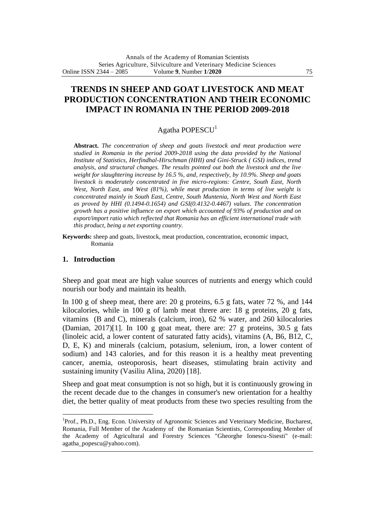# **TRENDS IN SHEEP AND GOAT LIVESTOCK AND MEAT PRODUCTION CONCENTRATION AND THEIR ECONOMIC IMPACT IN ROMANIA IN THE PERIOD 2009-2018**

## Agatha POPESCU<sup>1</sup>

**Abstract.** *The concentration of sheep and goats livestock and meat production were studied in Romania in the period 2009-2018 using the data provided by the National Institute of Statistics, Herfindhal-Hirschman (HHI) and Gini-Struck ( GSI) indices, trend analysis, and structural changes. The results pointed out both the livestock and the live weight for slaughtering increase by 16.5 %, and, respectively, by 10.9%. Sheep and goats livestock is moderately concentrated in five micro-regions: Centre, South East, North West, North East, and West (81%), while meat production in terms of live weight is concentrated mainly in South East, Centre, South Muntenia, North West and North East as proved by HHI (0.1494-0.1654) and GSI(0.4132-0.4467) values. The concentration growth has a positive influence on export which accounted of 93% of production and on export/import ratio which reflected that Romania has an efficient international trade with this product, being a net exporting country.*

**Keywords:** sheep and goats, livestock, meat production, concentration, economic impact, Romania

### **1. Introduction**

 $\overline{a}$ 

Sheep and goat meat are high value sources of nutrients and energy which could nourish our body and maintain its health.

In 100 g of sheep meat, there are: 20 g proteins, 6.5 g fats, water 72 %, and 144 kilocalories, while in 100 g of lamb meat threre are: 18 g proteins, 20 g fats, vitamins (B and C), minerals (calcium, iron), 62 % water, and 260 kilocalories (Damian, 2017)[1]. In 100 g goat meat, there are: 27 g proteins, 30.5 g fats (linoleic acid, a lower content of saturated fatty acids), vitamins (A, B6, B12, C, D, E, K) and minerals (calcium, potasium, selenium, iron, a lower content of sodium) and 143 calories, and for this reason it is a healthy meat preventing cancer, anemia, osteoporosis, heart diseases, stimulating brain activity and sustaining imunity (Vasiliu Alina, 2020) [18].

Sheep and goat meat consumption is not so high, but it is continuously growing in the recent decade due to the changes in consumer's new orientation for a healthy diet, the better quality of meat products from these two species resulting from the

<sup>&</sup>lt;sup>1</sup>Prof., Ph.D., Eng. Econ. University of Agronomic Sciences and Veterinary Medicine, Bucharest, Romania, Full Member of the Academy of the Romanian Scientists, Corresponding Member of the Academy of Agricultural and Forestry Sciences "Gheorghe Ionescu-Sisesti" (e-mail: agatha\_popescu@yahoo.com).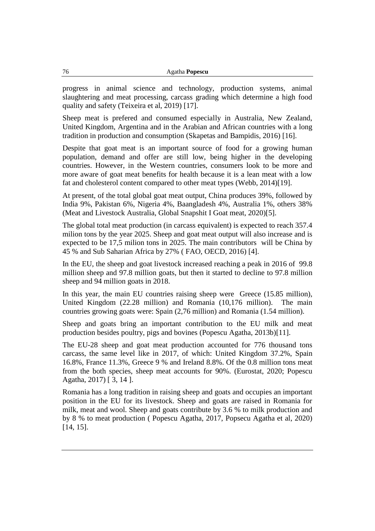| Agatha <b>Popescu</b> |
|-----------------------|
|                       |

progress in animal science and technology, production systems, animal slaughtering and meat processing, carcass grading which determine a high food quality and safety (Teixeira et al, 2019) [17].

Sheep meat is prefered and consumed especially in Australia, New Zealand, United Kingdom, Argentina and in the Arabian and African countries with a long tradition in production and consumption (Skapetas and Bampidis, 2016) [16].

Despite that goat meat is an important source of food for a growing human population, demand and offer are still low, being higher in the developing countries. However, in the Western countries, consumers look to be more and more aware of goat meat benefits for health because it is a lean meat with a low fat and cholesterol content compared to other meat types (Webb, 2014)[19].

At present, of the total global goat meat output, China produces 39%, followed by India 9%, Pakistan 6%, Nigeria 4%, Baangladesh 4%, Australia 1%, others 38% (Meat and Livestock Australia, Global Snapshit I Goat meat, 2020)[5].

The global total meat production (in carcass equivalent) is expected to reach 357.4 milion tons by the year 2025. Sheep and goat meat output will also increase and is expected to be 17,5 milion tons in 2025. The main contributors will be China by 45 % and Sub Saharian Africa by 27% ( FAO, OECD, 2016) [4].

In the EU, the sheep and goat livestock increased reaching a peak in 2016 of 99.8 million sheep and 97.8 million goats, but then it started to decline to 97.8 million sheep and 94 million goats in 2018.

In this year, the main EU countries raising sheep were Greece (15.85 million), United Kingdom (22.28 million) and Romania (10,176 million). The main countries growing goats were: Spain (2,76 million) and Romania (1.54 million).

Sheep and goats bring an important contribution to the EU milk and meat production besides poultry, pigs and bovines (Popescu Agatha, 2013b)[11].

The EU-28 sheep and goat meat production accounted for 776 thousand tons carcass, the same level like in 2017, of which: United Kingdom 37.2%, Spain 16.8%, France 11.3%, Greece 9 % and Ireland 8.8%. Of the 0.8 million tons meat from the both species, sheep meat accounts for 90%. (Eurostat, 2020; Popescu Agatha, 2017) [ 3, 14 ].

Romania has a long tradition in raising sheep and goats and occupies an important position in the EU for its livestock. Sheep and goats are raised in Romania for milk, meat and wool. Sheep and goats contribute by 3.6 % to milk production and by 8 % to meat production ( Popescu Agatha, 2017, Popsecu Agatha et al, 2020) [14, 15].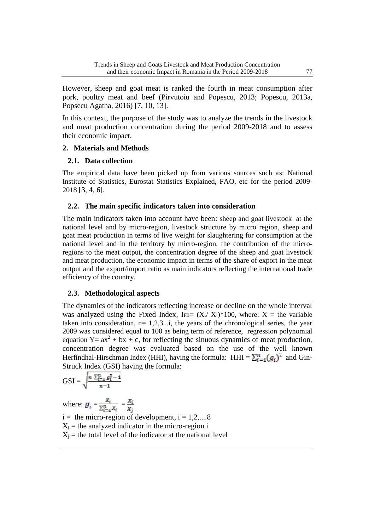However, sheep and goat meat is ranked the fourth in meat consumption after pork, poultry meat and beef (Pirvutoiu and Popescu, 2013; Popescu, 2013a, Popsecu Agatha, 2016) [7, 10, 13].

In this context, the purpose of the study was to analyze the trends in the livestock and meat production concentration during the period 2009-2018 and to assess their economic impact.

## **2. Materials and Methods**

## **2.1. Data collection**

The empirical data have been picked up from various sources such as: National Institute of Statistics, Eurostat Statistics Explained, FAO, etc for the period 2009- 2018 [3, 4, 6].

## **2.2. The main specific indicators taken into consideration**

The main indicators taken into account have been: sheep and goat livestock at the national level and by micro-region, livestock structure by micro region, sheep and goat meat production in terms of live weight for slaughtering for consumption at the national level and in the territory by micro-region, the contribution of the microregions to the meat output, the concentration degree of the sheep and goat livestock and meat production, the economic impact in terms of the share of export in the meat output and the export/import ratio as main indicators reflecting the international trade efficiency of the country.

## **2.3. Methodological aspects**

The dynamics of the indicators reflecting increase or decline on the whole interval was analyzed using the Fixed Index, IFB=  $(X_n / X_1)^*100$ , where: X = the variable taken into consideration,  $n= 1,2,3...$ , the years of the chronological series, the year 2009 was considered equal to 100 as being term of reference, regression polynomial equation Y=  $ax^2$  + bx + c, for reflecting the sinuous dynamics of meat production, concentration degree was evaluated based on the use of the well known Herfindhal-Hirschman Index (HHI), having the formula: HHI =  $\sum_{i=1}^{n} (g_i)^2$  and Gin-Struck Index (GSI) having the formula:

$$
GSI = \sqrt{\frac{n \sum_{i=1}^{n} g_i^2 - 1}{n-1}}
$$

where:  $g_i = \frac{x_i}{\sum_{i=1}^n x_i} = \frac{x_i}{x_j}$  $i =$  the micro-region of development,  $i = 1, 2, \dots, 8$  $X_i$  = the analyzed indicator in the micro-region i  $X_j$  = the total level of the indicator at the national level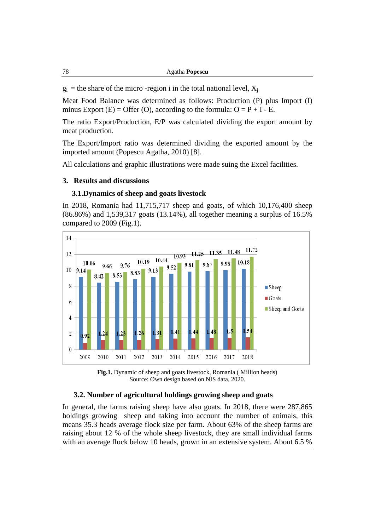$g_i$  = the share of the micro-region i in the total national level,  $X_i$ 

Meat Food Balance was determined as follows: Production (P) plus Import (I) minus Export (E) = Offer (O), according to the formula:  $O = P + I - E$ .

The ratio Export/Production, E/P was calculated dividing the export amount by meat production.

The Export/Import ratio was determined dividing the exported amount by the imported amount (Popescu Agatha, 2010) [8].

All calculations and graphic illustrations were made suing the Excel facilities.

#### **3. Results and discussions**

### **3.1.Dynamics of sheep and goats livestock**

In 2018, Romania had 11,715,717 sheep and goats, of which 10,176,400 sheep (86.86%) and 1,539,317 goats (13.14%), all together meaning a surplus of 16.5% compared to 2009 (Fig.1).





#### **3.2. Number of agricultural holdings growing sheep and goats**

In general, the farms raising sheep have also goats. In 2018, there were 287,865 holdings growing sheep and taking into account the number of animals, this means 35.3 heads average flock size per farm. About 63% of the sheep farms are raising about 12 % of the whole sheep livestock, they are small individual farms with an average flock below 10 heads, grown in an extensive system. About 6.5 %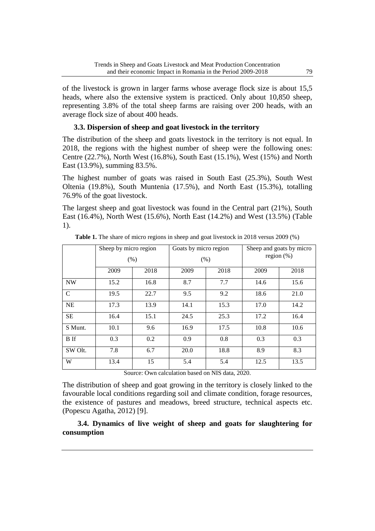of the livestock is grown in larger farms whose average flock size is about 15,5 heads, where also the extensive system is practiced. Only about 10,850 sheep, representing 3.8% of the total sheep farms are raising over 200 heads, with an average flock size of about 400 heads.

### **3.3. Dispersion of sheep and goat livestock in the territory**

The distribution of the sheep and goats livestock in the territory is not equal. In 2018, the regions with the highest number of sheep were the following ones: Centre (22.7%), North West (16.8%), South East (15.1%), West (15%) and North East (13.9%), summing 83.5%.

The highest number of goats was raised in South East (25.3%), South West Oltenia (19.8%), South Muntenia (17.5%), and North East (15.3%), totalling 76.9% of the goat livestock.

The largest sheep and goat livestock was found in the Central part (21%), South East (16.4%), North West (15.6%), North East (14.2%) and West (13.5%) (Table 1).

|               | Sheep by micro region<br>(% ) |      | Goats by micro region<br>(% ) |      | Sheep and goats by micro<br>region $(\%)$ |      |
|---------------|-------------------------------|------|-------------------------------|------|-------------------------------------------|------|
|               |                               |      |                               |      |                                           |      |
|               | 2009                          | 2018 | 2009                          | 2018 | 2009                                      | 2018 |
| <b>NW</b>     | 15.2                          | 16.8 | 8.7                           | 7.7  | 14.6                                      | 15.6 |
| $\mathcal{C}$ | 19.5                          | 22.7 | 9.5                           | 9.2  | 18.6                                      | 21.0 |
| <b>NE</b>     | 17.3                          | 13.9 | 14.1                          | 15.3 | 17.0                                      | 14.2 |
| <b>SE</b>     | 16.4                          | 15.1 | 24.5                          | 25.3 | 17.2                                      | 16.4 |
| S Munt.       | 10.1                          | 9.6  | 16.9                          | 17.5 | 10.8                                      | 10.6 |
| <b>B</b> If   | 0.3                           | 0.2  | 0.9                           | 0.8  | 0.3                                       | 0.3  |
| SW Olt.       | 7.8                           | 6.7  | 20.0                          | 18.8 | 8.9                                       | 8.3  |
| W             | 13.4                          | 15   | 5.4                           | 5.4  | 12.5                                      | 13.5 |

**Table 1.** The share of micro regions in sheep and goat livestock in 2018 versus 2009 (%)

Source: Own calculation based on NIS data, 2020.

The distribution of sheep and goat growing in the territory is closely linked to the favourable local conditions regarding soil and climate condition, forage resources, the existence of pastures and meadows, breed structure, technical aspects etc. (Popescu Agatha, 2012) [9].

 **3.4. Dynamics of live weight of sheep and goats for slaughtering for consumption**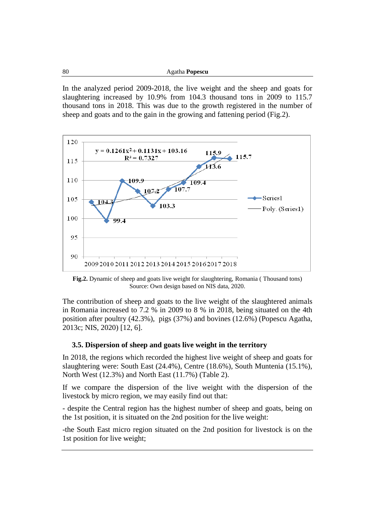In the analyzed period 2009-2018, the live weight and the sheep and goats for slaughtering increased by 10.9% from 104.3 thousand tons in 2009 to 115.7 thousand tons in 2018. This was due to the growth registered in the number of sheep and goats and to the gain in the growing and fattening period (Fig.2).



**Fig.2.** Dynamic of sheep and goats live weight for slaughtering, Romania ( Thousand tons) Source: Own design based on NIS data, 2020.

The contribution of sheep and goats to the live weight of the slaughtered animals in Romania increased to 7.2 % in 2009 to 8 % in 2018, being situated on the 4th position after poultry (42.3%), pigs (37%) and bovines (12.6%) (Popescu Agatha, 2013c; NIS, 2020) [12, 6].

### **3.5. Dispersion of sheep and goats live weight in the territory**

In 2018, the regions which recorded the highest live weight of sheep and goats for slaughtering were: South East (24.4%), Centre (18.6%), South Muntenia (15.1%), North West (12.3%) and North East (11.7%) (Table 2).

If we compare the dispersion of the live weight with the dispersion of the livestock by micro region, we may easily find out that:

- despite the Central region has the highest number of sheep and goats, being on the 1st position, it is situated on the 2nd position for the live weight:

-the South East micro region situated on the 2nd position for livestock is on the 1st position for live weight;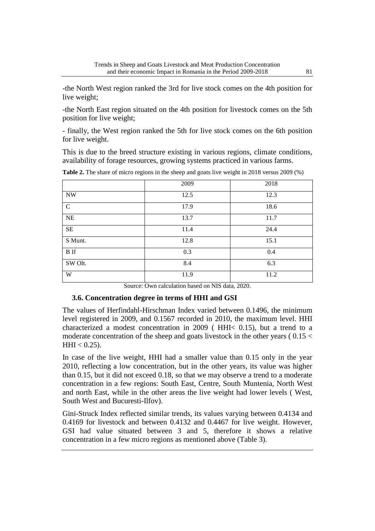-the North West region ranked the 3rd for live stock comes on the 4th position for live weight;

-the North East region situated on the 4th position for livestock comes on the 5th position for live weight;

- finally, the West region ranked the 5th for live stock comes on the 6th position for live weight.

This is due to the breed structure existing in various regions, climate conditions, availability of forage resources, growing systems practiced in various farms.

|              | 2009 | 2018 |
|--------------|------|------|
| <b>NW</b>    | 12.5 | 12.3 |
| $\mathsf{C}$ | 17.9 | 18.6 |
| NE           | 13.7 | 11.7 |
| $\rm SE$     | 11.4 | 24.4 |
| S Munt.      | 12.8 | 15.1 |
| <b>B</b> If  | 0.3  | 0.4  |
| SW Olt.      | 8.4  | 6.3  |
| W            | 11.9 | 11.2 |

**Table 2.** The share of micro regions in the sheep and goats live weight in 2018 versus 2009 (%)

Source: Own calculation based on NIS data, 2020.

### **3.6. Concentration degree in terms of HHI and GSI**

The values of Herfindahl-Hirschman Index varied between 0.1496, the minimum level registered in 2009, and 0.1567 recorded in 2010, the maximum level. HHI characterized a modest concentration in 2009 ( HHI< 0.15), but a trend to a moderate concentration of the sheep and goats livestock in the other years ( 0.15 <  $HHI < 0.25$ ).

In case of the live weight, HHI had a smaller value than 0.15 only in the year 2010, reflecting a low concentration, but in the other years, its value was higher than 0.15, but it did not exceed 0.18, so that we may observe a trend to a moderate concentration in a few regions: South East, Centre, South Muntenia, North West and north East, while in the other areas the live weight had lower levels ( West, South West and Bucuresti-Ilfov).

Gini-Struck Index reflected similar trends, its values varying between 0.4134 and 0.4169 for livestock and between 0.4132 and 0.4467 for live weight. However, GSI had value situated between 3 and 5, therefore it shows a relative concentration in a few micro regions as mentioned above (Table 3).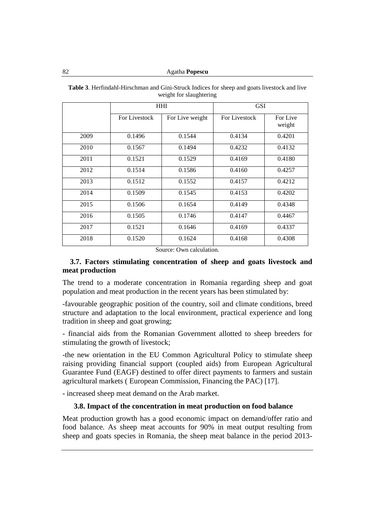|      |               | <b>HHI</b>      | <b>GSI</b>    |                    |
|------|---------------|-----------------|---------------|--------------------|
|      | For Livestock | For Live weight | For Livestock | For Live<br>weight |
| 2009 | 0.1496        | 0.1544          | 0.4134        | 0.4201             |
| 2010 | 0.1567        | 0.1494          | 0.4232        | 0.4132             |
| 2011 | 0.1521        | 0.1529          | 0.4169        | 0.4180             |
| 2012 | 0.1514        | 0.1586          | 0.4160        | 0.4257             |
| 2013 | 0.1512        | 0.1552          | 0.4157        | 0.4212             |
| 2014 | 0.1509        | 0.1545          | 0.4153        | 0.4202             |
| 2015 | 0.1506        | 0.1654          | 0.4149        | 0.4348             |
| 2016 | 0.1505        | 0.1746          | 0.4147        | 0.4467             |
| 2017 | 0.1521        | 0.1646          | 0.4169        | 0.4337             |
| 2018 | 0.1520        | 0.1624          | 0.4168        | 0.4308             |

**Table 3**. Herfindahl-Hirschman and Gini-Struck Indices for sheep and goats livestock and live weight for slaughtering

Source: Own calculation.

### **3.7. Factors stimulating concentration of sheep and goats livestock and meat production**

The trend to a moderate concentration in Romania regarding sheep and goat population and meat production in the recent years has been stimulated by:

-favourable geographic position of the country, soil and climate conditions, breed structure and adaptation to the local environment, practical experience and long tradition in sheep and goat growing;

- financial aids from the Romanian Government allotted to sheep breeders for stimulating the growth of livestock;

-the new orientation in the EU Common Agricultural Policy to stimulate sheep raising providing financial support (coupled aids) from European Agricultural Guarantee Fund (EAGF) destined to offer direct payments to farmers and sustain agricultural markets ( European Commission, Financing the PAC) [17].

- increased sheep meat demand on the Arab market.

### **3.8. Impact of the concentration in meat production on food balance**

Meat production growth has a good economic impact on demand/offer ratio and food balance. As sheep meat accounts for 90% in meat output resulting from sheep and goats species in Romania, the sheep meat balance in the period 2013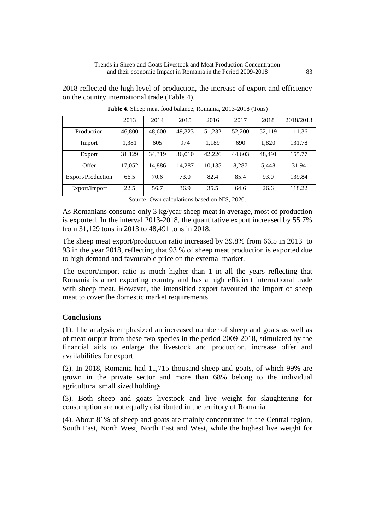2018 reflected the high level of production, the increase of export and efficiency on the country international trade (Table 4).

|                   | 2013   | 2014   | 2015   | 2016   | 2017   | 2018   | 2018/2013 |
|-------------------|--------|--------|--------|--------|--------|--------|-----------|
| Production        | 46,800 | 48,600 | 49,323 | 51,232 | 52,200 | 52,119 | 111.36    |
| Import            | 1,381  | 605    | 974    | 1,189  | 690    | 1,820  | 131.78    |
| Export            | 31,129 | 34,319 | 36,010 | 42,226 | 44,603 | 48,491 | 155.77    |
| Offer             | 17,052 | 14,886 | 14,287 | 10,135 | 8,287  | 5,448  | 31.94     |
| Export/Production | 66.5   | 70.6   | 73.0   | 82.4   | 85.4   | 93.0   | 139.84    |
| Export/Import     | 22.5   | 56.7   | 36.9   | 35.5   | 64.6   | 26.6   | 118.22    |

**Table 4**. Sheep meat food balance, Romania, 2013-2018 (Tons)

Source: Own calculations based on NIS, 2020.

As Romanians consume only 3 kg/year sheep meat in average, most of production is exported. In the interval 2013-2018, the quantitative export increased by 55.7% from 31,129 tons in 2013 to 48,491 tons in 2018.

The sheep meat export/production ratio increased by 39.8% from 66.5 in 2013 to 93 in the year 2018, reflecting that 93 % of sheep meat production is exported due to high demand and favourable price on the external market.

The export/import ratio is much higher than 1 in all the years reflecting that Romania is a net exporting country and has a high efficient international trade with sheep meat. However, the intensified export favoured the import of sheep meat to cover the domestic market requirements.

## **Conclusions**

(1). The analysis emphasized an increased number of sheep and goats as well as of meat output from these two species in the period 2009-2018, stimulated by the financial aids to enlarge the livestock and production, increase offer and availabilities for export.

(2). In 2018, Romania had 11,715 thousand sheep and goats, of which 99% are grown in the private sector and more than 68% belong to the individual agricultural small sized holdings.

(3). Both sheep and goats livestock and live weight for slaughtering for consumption are not equally distributed in the territory of Romania.

(4). About 81% of sheep and goats are mainly concentrated in the Central region, South East, North West, North East and West, while the highest live weight for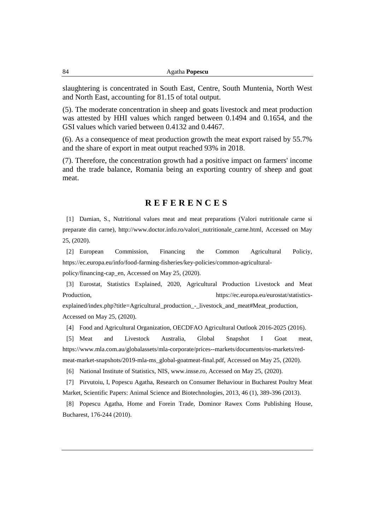slaughtering is concentrated in South East, Centre, South Muntenia, North West and North East, accounting for 81.15 of total output.

(5). The moderate concentration in sheep and goats livestock and meat production was attested by HHI values which ranged between 0.1494 and 0.1654, and the GSI values which varied between 0.4132 and 0.4467.

(6). As a consequence of meat production growth the meat export raised by 55.7% and the share of export in meat output reached 93% in 2018.

(7). Therefore, the concentration growth had a positive impact on farmers' income and the trade balance, Romania being an exporting country of sheep and goat meat.

## **R E F E R E N C E S**

[1] Damian, S., Nutritional values meat and meat preparations (Valori nutritionale carne si preparate din carne), http://www.doctor.info.ro/valori\_nutritionale\_carne.html, Accessed on May 25, (2020).

[2] European Commission, Financing the Common Agricultural Policiy, [https://ec.europa.eu/info/food-farming-fisheries/key-policies/common-agricultural-](https://ec.europa.eu/info/food-farming-fisheries/key-policies/common-agricultural-policy/financing-cap_en)

[policy/financing-cap\\_en,](https://ec.europa.eu/info/food-farming-fisheries/key-policies/common-agricultural-policy/financing-cap_en) Accessed on May 25, (2020).

[3] Eurostat, Statistics Explained, 2020, Agricultural Production Livestock and Meat Production, [https://ec.europa.eu/eurostat/statistics-](https://ec.europa.eu/eurostat/statistics-explained/index.php?title=Agricultural_production_-_livestock_and_meat#Meat_production)

[explained/index.php?title=Agricultural\\_production\\_-\\_livestock\\_and\\_meat#Meat\\_production,](https://ec.europa.eu/eurostat/statistics-explained/index.php?title=Agricultural_production_-_livestock_and_meat#Meat_production) Accessed on May 25, (2020).

[4] Food and Agricultural Organization, OECDFAO Agricultural Outlook 2016-2025 (2016).

[5] Meat and Livestock Australia, Global Snapshot I Goat meat, [https://www.mla.com.au/globalassets/mla-corporate/prices--markets/documents/os-markets/red](https://www.mla.com.au/globalassets/mla-corporate/prices--markets/documents/os-markets/red-meat-market-snapshots/2019-mla-ms_global-goatmeat-final.pdf)[meat-market-snapshots/2019-mla-ms\\_global-goatmeat-final.pdf,](https://www.mla.com.au/globalassets/mla-corporate/prices--markets/documents/os-markets/red-meat-market-snapshots/2019-mla-ms_global-goatmeat-final.pdf) Accessed on May 25, (2020).

[6] National Institute of Statistics, NIS, www.insse.ro, Accessed on May 25, (2020).

[7] Pirvutoiu, I, Popescu Agatha, Research on Consumer Behaviour in Bucharest Poultry Meat Market, Scientific Papers: Animal Science and Biotechnologies, 2013, 46 (1), 389-396 (2013).

[8] Popescu Agatha, Home and Forein Trade, Dominor Rawex Coms Publishing House, Bucharest, 176-244 (2010).